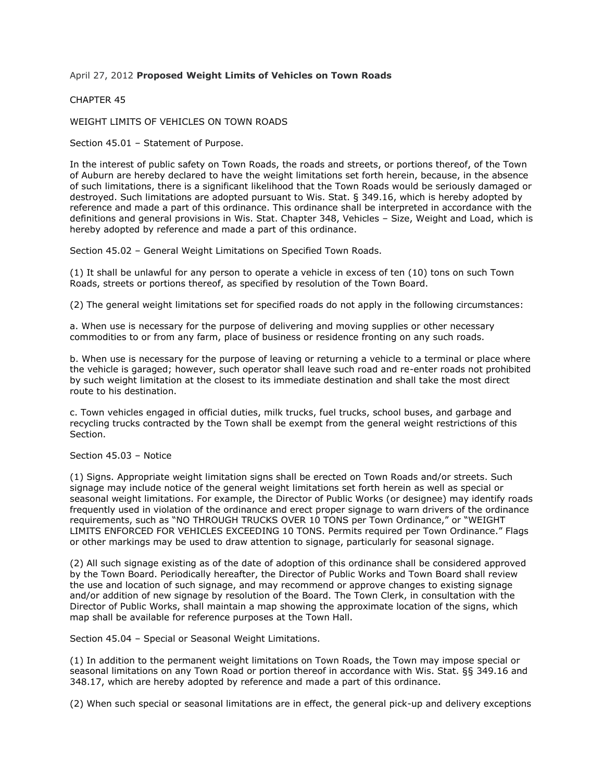## April 27, 2012 **Proposed Weight Limits of Vehicles on Town Roads**

## CHAPTER 45

WEIGHT LIMITS OF VEHICLES ON TOWN ROADS

Section 45.01 – Statement of Purpose.

In the interest of public safety on Town Roads, the roads and streets, or portions thereof, of the Town of Auburn are hereby declared to have the weight limitations set forth herein, because, in the absence of such limitations, there is a significant likelihood that the Town Roads would be seriously damaged or destroyed. Such limitations are adopted pursuant to Wis. Stat. § 349.16, which is hereby adopted by reference and made a part of this ordinance. This ordinance shall be interpreted in accordance with the definitions and general provisions in Wis. Stat. Chapter 348, Vehicles – Size, Weight and Load, which is hereby adopted by reference and made a part of this ordinance.

Section 45.02 – General Weight Limitations on Specified Town Roads.

(1) It shall be unlawful for any person to operate a vehicle in excess of ten (10) tons on such Town Roads, streets or portions thereof, as specified by resolution of the Town Board.

(2) The general weight limitations set for specified roads do not apply in the following circumstances:

a. When use is necessary for the purpose of delivering and moving supplies or other necessary commodities to or from any farm, place of business or residence fronting on any such roads.

b. When use is necessary for the purpose of leaving or returning a vehicle to a terminal or place where the vehicle is garaged; however, such operator shall leave such road and re-enter roads not prohibited by such weight limitation at the closest to its immediate destination and shall take the most direct route to his destination.

c. Town vehicles engaged in official duties, milk trucks, fuel trucks, school buses, and garbage and recycling trucks contracted by the Town shall be exempt from the general weight restrictions of this Section.

## Section 45.03 – Notice

(1) Signs. Appropriate weight limitation signs shall be erected on Town Roads and/or streets. Such signage may include notice of the general weight limitations set forth herein as well as special or seasonal weight limitations. For example, the Director of Public Works (or designee) may identify roads frequently used in violation of the ordinance and erect proper signage to warn drivers of the ordinance requirements, such as "NO THROUGH TRUCKS OVER 10 TONS per Town Ordinance," or "WEIGHT LIMITS ENFORCED FOR VEHICLES EXCEEDING 10 TONS. Permits required per Town Ordinance." Flags or other markings may be used to draw attention to signage, particularly for seasonal signage.

(2) All such signage existing as of the date of adoption of this ordinance shall be considered approved by the Town Board. Periodically hereafter, the Director of Public Works and Town Board shall review the use and location of such signage, and may recommend or approve changes to existing signage and/or addition of new signage by resolution of the Board. The Town Clerk, in consultation with the Director of Public Works, shall maintain a map showing the approximate location of the signs, which map shall be available for reference purposes at the Town Hall.

Section 45.04 – Special or Seasonal Weight Limitations.

(1) In addition to the permanent weight limitations on Town Roads, the Town may impose special or seasonal limitations on any Town Road or portion thereof in accordance with Wis. Stat. §§ 349.16 and 348.17, which are hereby adopted by reference and made a part of this ordinance.

(2) When such special or seasonal limitations are in effect, the general pick-up and delivery exceptions